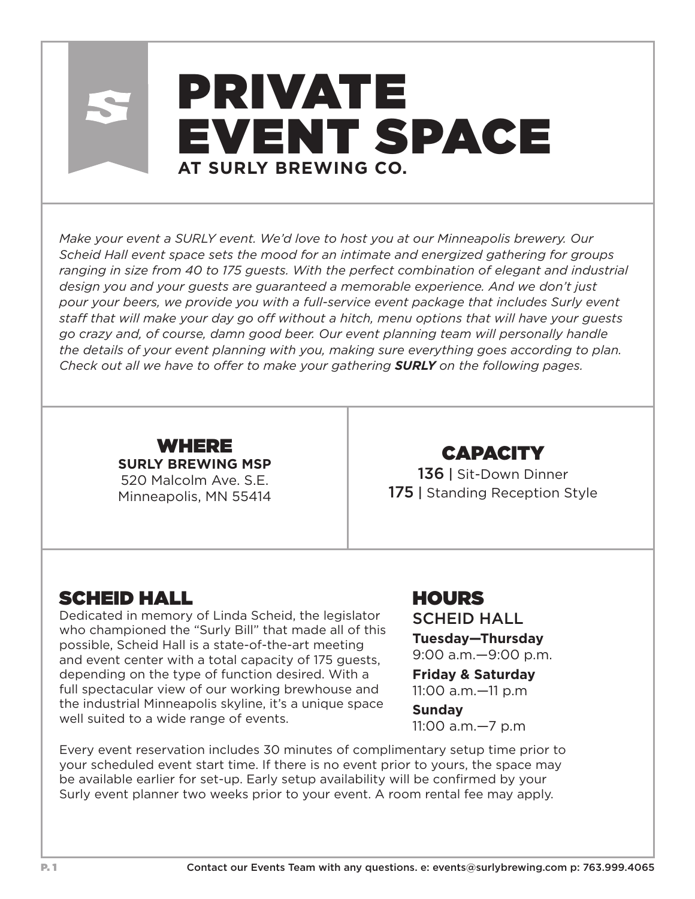# PRIVATE EVENT SPACE **AT SURLY BREWING CO.**

*Make your event a SURLY event. We'd love to host you at our Minneapolis brewery. Our Scheid Hall event space sets the mood for an intimate and energized gathering for groups ranging in size from 40 to 175 guests. With the perfect combination of elegant and industrial design you and your guests are guaranteed a memorable experience. And we don't just pour your beers, we provide you with a full-service event package that includes Surly event staff that will make your day go off without a hitch, menu options that will have your guests go crazy and, of course, damn good beer. Our event planning team will personally handle the details of your event planning with you, making sure everything goes according to plan. Check out all we have to offer to make your gathering SURLY on the following pages.*



# CAPACITY

136 | Sit-Down Dinner 175 | Standing Reception Style

#### SCHEID HALL

Dedicated in memory of Linda Scheid, the legislator who championed the "Surly Bill" that made all of this possible, Scheid Hall is a state-of-the-art meeting and event center with a total capacity of 175 guests, depending on the type of function desired. With a full spectacular view of our working brewhouse and the industrial Minneapolis skyline, it's a unique space well suited to a wide range of events.

# HOURS

SCHEID HALL

**Tuesday—Thursday** 9:00 a.m.—9:00 p.m.

**Friday & Saturday** 11:00 a.m.—11 p.m

#### **Sunday**

11:00 a.m.—7 p.m

Every event reservation includes 30 minutes of complimentary setup time prior to your scheduled event start time. If there is no event prior to yours, the space may be available earlier for set-up. Early setup availability will be confirmed by your Surly event planner two weeks prior to your event. A room rental fee may apply.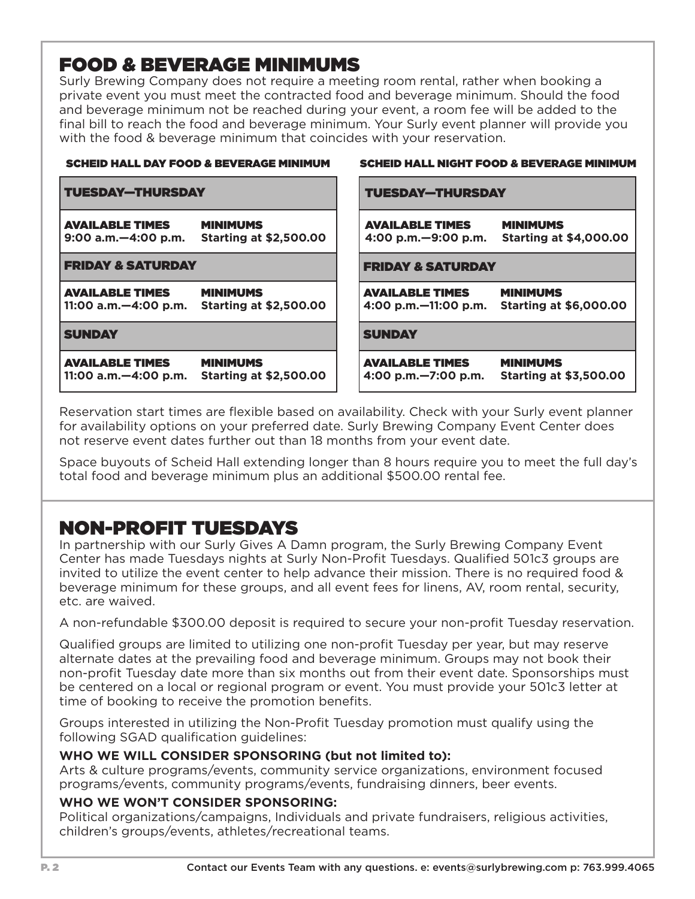# FOOD & BEVERAGE MINIMUMS

Surly Brewing Company does not require a meeting room rental, rather when booking a private event you must meet the contracted food and beverage minimum. Should the food and beverage minimum not be reached during your event, a room fee will be added to the final bill to reach the food and beverage minimum. Your Surly event planner will provide you with the food & beverage minimum that coincides with your reservation.

| <b>SCHEID HALL DAY FOOD &amp; BEVERAGE MINIMUM</b>                                                     | <b>SCHEID HALL NIGHT FOOD &amp; BEVERAGE MINIMUM</b>                                                  |
|--------------------------------------------------------------------------------------------------------|-------------------------------------------------------------------------------------------------------|
| <b>TUESDAY-THURSDAY</b>                                                                                | <b>TUESDAY-THURSDAY</b>                                                                               |
| <b>AVAILABLE TIMES</b><br><b>MINIMUMS</b><br><b>Starting at \$2,500.00</b><br>$9:00$ a.m. $-4:00$ p.m. | <b>AVAILABLE TIMES</b><br><b>MINIMUMS</b><br><b>Starting at \$4,000.00</b><br>4:00 p.m. - 9:00 p.m.   |
| <b>FRIDAY &amp; SATURDAY</b>                                                                           | <b>FRIDAY &amp; SATURDAY</b>                                                                          |
| <b>AVAILABLE TIMES</b><br><b>MINIMUMS</b><br>11:00 a.m. - 4:00 p.m.<br><b>Starting at \$2,500.00</b>   | <b>AVAILABLE TIMES</b><br><b>MINIMUMS</b><br>4:00 p.m. $-11:00$ p.m.<br><b>Starting at \$6,000.00</b> |
| <b>SUNDAY</b>                                                                                          | <b>SUNDAY</b>                                                                                         |
| <b>MINIMUMS</b><br><b>AVAILABLE TIMES</b><br><b>Starting at \$2,500.00</b><br>11:00 a.m. - 4:00 p.m.   | <b>MINIMUMS</b><br><b>AVAILABLE TIMES</b><br>4:00 p.m. - 7:00 p.m.<br><b>Starting at \$3,500.00</b>   |

Reservation start times are flexible based on availability. Check with your Surly event planner for availability options on your preferred date. Surly Brewing Company Event Center does not reserve event dates further out than 18 months from your event date.

Space buyouts of Scheid Hall extending longer than 8 hours require you to meet the full day's total food and beverage minimum plus an additional \$500.00 rental fee.

# NON-PROFIT TUESDAYS

In partnership with our Surly Gives A Damn program, the Surly Brewing Company Event Center has made Tuesdays nights at Surly Non-Profit Tuesdays. Qualified 501c3 groups are invited to utilize the event center to help advance their mission. There is no required food & beverage minimum for these groups, and all event fees for linens, AV, room rental, security, etc. are waived.

A non-refundable \$300.00 deposit is required to secure your non-profit Tuesday reservation.

Qualified groups are limited to utilizing one non-profit Tuesday per year, but may reserve alternate dates at the prevailing food and beverage minimum. Groups may not book their non-profit Tuesday date more than six months out from their event date. Sponsorships must be centered on a local or regional program or event. You must provide your 501c3 letter at time of booking to receive the promotion benefits.

Groups interested in utilizing the Non-Profit Tuesday promotion must qualify using the following SGAD qualification guidelines:

#### **WHO WE WILL CONSIDER SPONSORING (but not limited to):**

Arts & culture programs/events, community service organizations, environment focused programs/events, community programs/events, fundraising dinners, beer events.

#### **WHO WE WON'T CONSIDER SPONSORING:**

Political organizations/campaigns, Individuals and private fundraisers, religious activities, children's groups/events, athletes/recreational teams.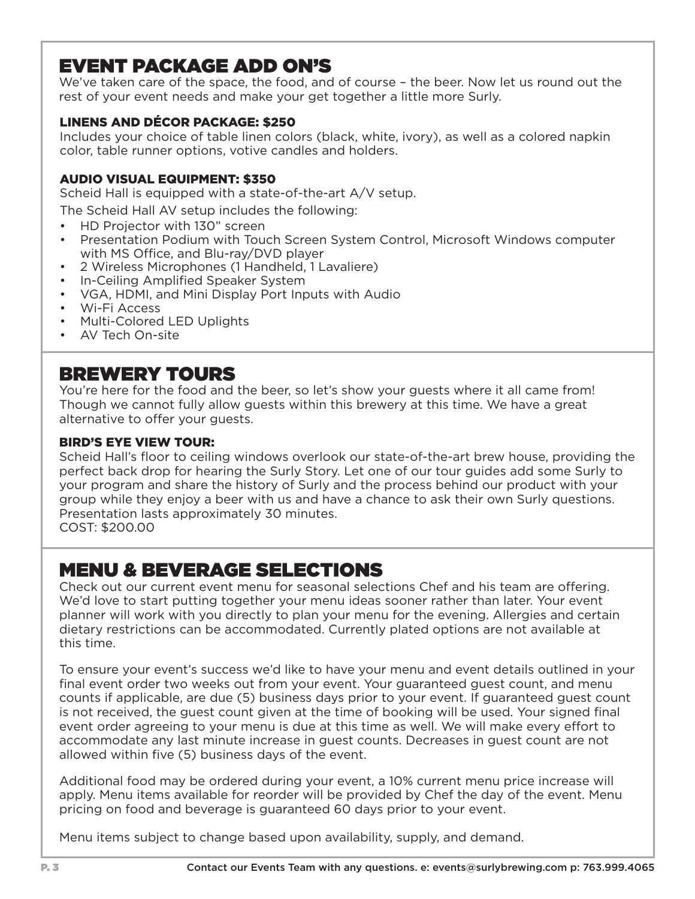# EVENT PACKAGE ADD ON'S

We've taken care of the space, the food, and of course – the beer. Now let us round out the rest of your event needs and make your get together a little more Surly.

#### LINENS AND DÉCOR PACKAGE: \$250

Includes your choice of table linen colors (black, white, ivory), as well as a colored napkin color, table runner options, votive candles and holders.

#### AUDIO VISUAL EQUIPMENT: \$350

Scheid Hall is equipped with a state-of-the-art A/V setup.

The Scheid Hall AV setup includes the following:

- HD Projector with 130" screen
- Presentation Podium with Touch Screen System Control, Microsoft Windows computer with MS Office, and Blu-ray/DVD player
- 2 Wireless Microphones (1 Handheld, 1 Lavaliere)
- In-Ceiling Amplified Speaker System
- VGA, HDMI, and Mini Display Port Inputs with Audio
- Wi-Fi Access
- Multi-Colored LED Uplights
- AV Tech On-site

#### BREWERY TOURS

You're here for the food and the beer, so let's show your guests where it all came from! Though we cannot fully allow guests within this brewery at this time. We have a great alternative to offer your guests.

#### BIRD'S EYE VIEW TOUR:

Scheid Hall's floor to ceiling windows overlook our state-of-the-art brew house, providing the perfect back drop for hearing the Surly Story. Let one of our tour guides add some Surly to your program and share the history of Surly and the process behind our product with your group while they enjoy a beer with us and have a chance to ask their own Surly questions. Presentation lasts approximately 30 minutes.

COST: \$200.00

### MENU & BEVERAGE SELECTIONS

Check out our current event menu for seasonal selections Chef and his team are offering. We'd love to start putting together your menu ideas sooner rather than later. Your event planner will work with you directly to plan your menu for the evening. Allergies and certain dietary restrictions can be accommodated. Currently plated options are not available at this time.

To ensure your event's success we'd like to have your menu and event details outlined in your final event order two weeks out from your event. Your guaranteed guest count, and menu counts if applicable, are due (5) business days prior to your event. If guaranteed guest count is not received, the guest count given at the time of booking will be used. Your signed final event order agreeing to your menu is due at this time as well. We will make every effort to accommodate any last minute increase in guest counts. Decreases in guest count are not allowed within five (5) business days of the event.

Additional food may be ordered during your event, a 10% current menu price increase will apply. Menu items available for reorder will be provided by Chef the day of the event. Menu pricing on food and beverage is guaranteed 60 days prior to your event.

Menu items subject to change based upon availability, supply, and demand.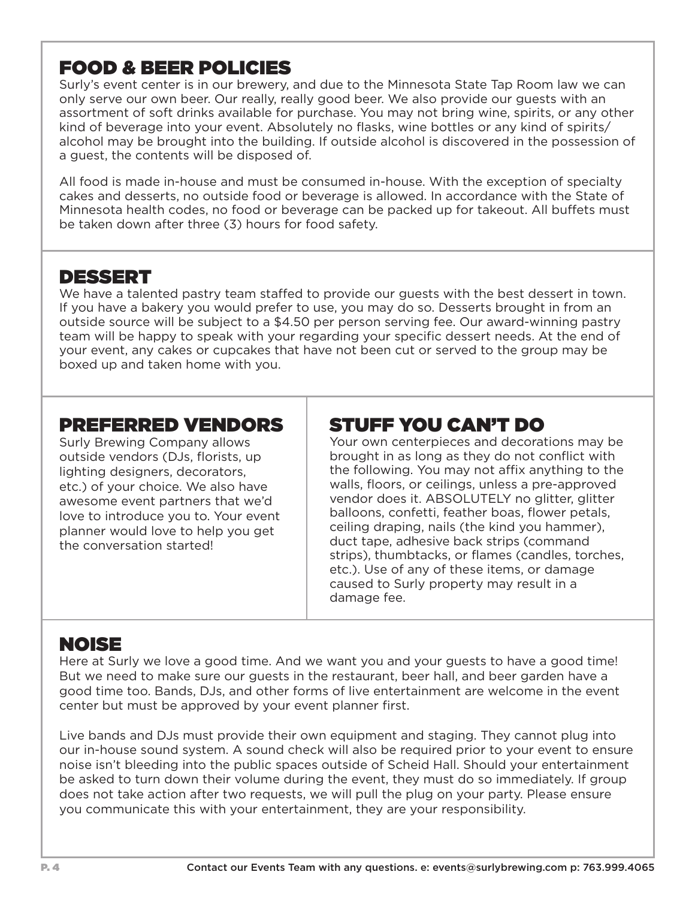## FOOD & BEER POLICIES

Surly's event center is in our brewery, and due to the Minnesota State Tap Room law we can only serve our own beer. Our really, really good beer. We also provide our guests with an assortment of soft drinks available for purchase. You may not bring wine, spirits, or any other kind of beverage into your event. Absolutely no flasks, wine bottles or any kind of spirits/ alcohol may be brought into the building. If outside alcohol is discovered in the possession of a guest, the contents will be disposed of.

All food is made in-house and must be consumed in-house. With the exception of specialty cakes and desserts, no outside food or beverage is allowed. In accordance with the State of Minnesota health codes, no food or beverage can be packed up for takeout. All buffets must be taken down after three (3) hours for food safety.

### DESSERT

We have a talented pastry team staffed to provide our guests with the best dessert in town. If you have a bakery you would prefer to use, you may do so. Desserts brought in from an outside source will be subject to a \$4.50 per person serving fee. Our award-winning pastry team will be happy to speak with your regarding your specific dessert needs. At the end of your event, any cakes or cupcakes that have not been cut or served to the group may be boxed up and taken home with you.

#### PREFERRED VENDORS

Surly Brewing Company allows outside vendors (DJs, florists, up lighting designers, decorators, etc.) of your choice. We also have awesome event partners that we'd love to introduce you to. Your event planner would love to help you get the conversation started!

# STUFF YOU CAN'T DO

Your own centerpieces and decorations may be brought in as long as they do not conflict with the following. You may not affix anything to the walls, floors, or ceilings, unless a pre-approved vendor does it. ABSOLUTELY no glitter, glitter balloons, confetti, feather boas, flower petals, ceiling draping, nails (the kind you hammer), duct tape, adhesive back strips (command strips), thumbtacks, or flames (candles, torches, etc.). Use of any of these items, or damage caused to Surly property may result in a damage fee.

# NOISE

Here at Surly we love a good time. And we want you and your guests to have a good time! But we need to make sure our guests in the restaurant, beer hall, and beer garden have a good time too. Bands, DJs, and other forms of live entertainment are welcome in the event center but must be approved by your event planner first.

Live bands and DJs must provide their own equipment and staging. They cannot plug into our in-house sound system. A sound check will also be required prior to your event to ensure noise isn't bleeding into the public spaces outside of Scheid Hall. Should your entertainment be asked to turn down their volume during the event, they must do so immediately. If group does not take action after two requests, we will pull the plug on your party. Please ensure you communicate this with your entertainment, they are your responsibility.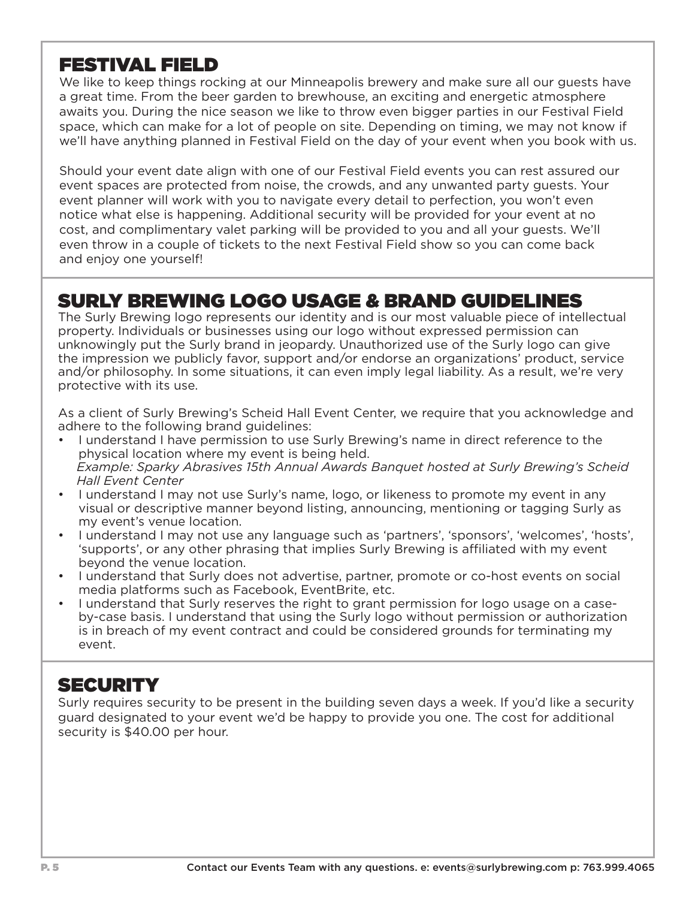### FESTIVAL FIELD

We like to keep things rocking at our Minneapolis brewery and make sure all our guests have a great time. From the beer garden to brewhouse, an exciting and energetic atmosphere awaits you. During the nice season we like to throw even bigger parties in our Festival Field space, which can make for a lot of people on site. Depending on timing, we may not know if we'll have anything planned in Festival Field on the day of your event when you book with us.

Should your event date align with one of our Festival Field events you can rest assured our event spaces are protected from noise, the crowds, and any unwanted party guests. Your event planner will work with you to navigate every detail to perfection, you won't even notice what else is happening. Additional security will be provided for your event at no cost, and complimentary valet parking will be provided to you and all your guests. We'll even throw in a couple of tickets to the next Festival Field show so you can come back and enjoy one yourself!

### SURLY BREWING LOGO USAGE & BRAND GUIDELINES

The Surly Brewing logo represents our identity and is our most valuable piece of intellectual property. Individuals or businesses using our logo without expressed permission can unknowingly put the Surly brand in jeopardy. Unauthorized use of the Surly logo can give the impression we publicly favor, support and/or endorse an organizations' product, service and/or philosophy. In some situations, it can even imply legal liability. As a result, we're very protective with its use.

As a client of Surly Brewing's Scheid Hall Event Center, we require that you acknowledge and adhere to the following brand guidelines:

- I understand I have permission to use Surly Brewing's name in direct reference to the physical location where my event is being held.  *Example: Sparky Abrasives 15th Annual Awards Banquet hosted at Surly Brewing's Scheid Hall Event Center*
- I understand I may not use Surly's name, logo, or likeness to promote my event in any visual or descriptive manner beyond listing, announcing, mentioning or tagging Surly as my event's venue location.
- I understand I may not use any language such as 'partners', 'sponsors', 'welcomes', 'hosts', 'supports', or any other phrasing that implies Surly Brewing is affiliated with my event beyond the venue location.
- I understand that Surly does not advertise, partner, promote or co-host events on social media platforms such as Facebook, EventBrite, etc.
- I understand that Surly reserves the right to grant permission for logo usage on a caseby-case basis. I understand that using the Surly logo without permission or authorization is in breach of my event contract and could be considered grounds for terminating my event.

### **SECURITY**

Surly requires security to be present in the building seven days a week. If you'd like a security guard designated to your event we'd be happy to provide you one. The cost for additional security is \$40.00 per hour.